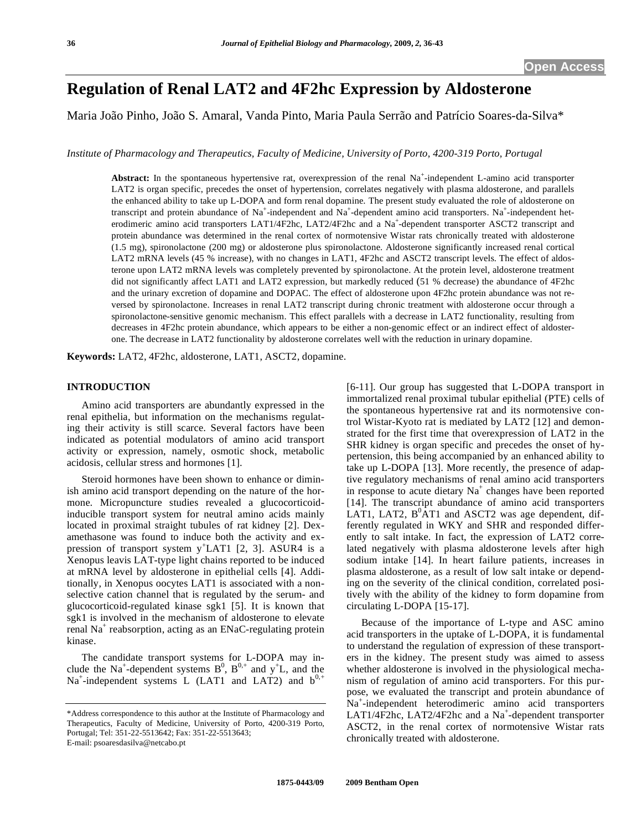# **Regulation of Renal LAT2 and 4F2hc Expression by Aldosterone**

Maria João Pinho, João S. Amaral, Vanda Pinto, Maria Paula Serrão and Patrício Soares-da-Silva\*

*Institute of Pharmacology and Therapeutics, Faculty of Medicine, University of Porto, 4200-319 Porto, Portugal* 

Abstract: In the spontaneous hypertensive rat, overexpression of the renal Na<sup>+</sup>-independent L-amino acid transporter LAT2 is organ specific, precedes the onset of hypertension, correlates negatively with plasma aldosterone, and parallels the enhanced ability to take up L-DOPA and form renal dopamine. The present study evaluated the role of aldosterone on transcript and protein abundance of Na<sup>+</sup>-independent and Na<sup>+</sup>-dependent amino acid transporters. Na<sup>+</sup>-independent heterodimeric amino acid transporters LAT1/4F2hc, LAT2/4F2hc and a Na<sup>+</sup>-dependent transporter ASCT2 transcript and protein abundance was determined in the renal cortex of normotensive Wistar rats chronically treated with aldosterone (1.5 mg), spironolactone (200 mg) or aldosterone plus spironolactone. Aldosterone significantly increased renal cortical LAT2 mRNA levels (45 % increase), with no changes in LAT1, 4F2hc and ASCT2 transcript levels. The effect of aldosterone upon LAT2 mRNA levels was completely prevented by spironolactone. At the protein level, aldosterone treatment did not significantly affect LAT1 and LAT2 expression, but markedly reduced (51 % decrease) the abundance of 4F2hc and the urinary excretion of dopamine and DOPAC. The effect of aldosterone upon 4F2hc protein abundance was not reversed by spironolactone. Increases in renal LAT2 transcript during chronic treatment with aldosterone occur through a spironolactone-sensitive genomic mechanism. This effect parallels with a decrease in LAT2 functionality, resulting from decreases in 4F2hc protein abundance, which appears to be either a non-genomic effect or an indirect effect of aldosterone. The decrease in LAT2 functionality by aldosterone correlates well with the reduction in urinary dopamine.

**Keywords:** LAT2, 4F2hc, aldosterone, LAT1, ASCT2, dopamine.

# **INTRODUCTION**

 Amino acid transporters are abundantly expressed in the renal epithelia, but information on the mechanisms regulating their activity is still scarce. Several factors have been indicated as potential modulators of amino acid transport activity or expression, namely, osmotic shock, metabolic acidosis, cellular stress and hormones [1].

 Steroid hormones have been shown to enhance or diminish amino acid transport depending on the nature of the hormone. Micropuncture studies revealed a glucocorticoidinducible transport system for neutral amino acids mainly located in proximal straight tubules of rat kidney [2]. Dexamethasone was found to induce both the activity and expression of transport system  $y^+$ LAT1 [2, 3]. ASUR4 is a Xenopus leavis LAT-type light chains reported to be induced at mRNA level by aldosterone in epithelial cells [4]. Additionally, in Xenopus oocytes LAT1 is associated with a nonselective cation channel that is regulated by the serum- and glucocorticoid-regulated kinase sgk1 [5]. It is known that sgk1 is involved in the mechanism of aldosterone to elevate renal Na<sup>+</sup> reabsorption, acting as an ENaC-regulating protein kinase.

 The candidate transport systems for L-DOPA may include the Na<sup>+</sup>-dependent systems  $B^0$ ,  $B^{0,+}$  and  $y^+L$ , and the Na<sup>+</sup>-independent systems L (LAT1 and LAT2) and  $b^{0,+}$  [6-11]. Our group has suggested that L-DOPA transport in immortalized renal proximal tubular epithelial (PTE) cells of the spontaneous hypertensive rat and its normotensive control Wistar-Kyoto rat is mediated by LAT2 [12] and demonstrated for the first time that overexpression of LAT2 in the SHR kidney is organ specific and precedes the onset of hypertension, this being accompanied by an enhanced ability to take up L-DOPA [13]. More recently, the presence of adaptive regulatory mechanisms of renal amino acid transporters in response to acute dietary  $Na<sup>+</sup>$  changes have been reported [14]. The transcript abundance of amino acid transporters LAT1, LAT2,  $B^{0}AT1$  and ASCT2 was age dependent, differently regulated in WKY and SHR and responded differently to salt intake. In fact, the expression of LAT2 correlated negatively with plasma aldosterone levels after high sodium intake [14]. In heart failure patients, increases in plasma aldosterone, as a result of low salt intake or depending on the severity of the clinical condition, correlated positively with the ability of the kidney to form dopamine from circulating L-DOPA [15-17].

 Because of the importance of L-type and ASC amino acid transporters in the uptake of L-DOPA, it is fundamental to understand the regulation of expression of these transporters in the kidney. The present study was aimed to assess whether aldosterone is involved in the physiological mechanism of regulation of amino acid transporters. For this purpose, we evaluated the transcript and protein abundance of Na+ -independent heterodimeric amino acid transporters LAT1/4F2hc, LAT2/4F2hc and a Na<sup>+</sup>-dependent transporter ASCT2, in the renal cortex of normotensive Wistar rats chronically treated with aldosterone.

<sup>\*</sup>Address correspondence to this author at the Institute of Pharmacology and Therapeutics, Faculty of Medicine, University of Porto, 4200-319 Porto, Portugal; Tel: 351-22-5513642; Fax: 351-22-5513643; E-mail: psoaresdasilva@netcabo.pt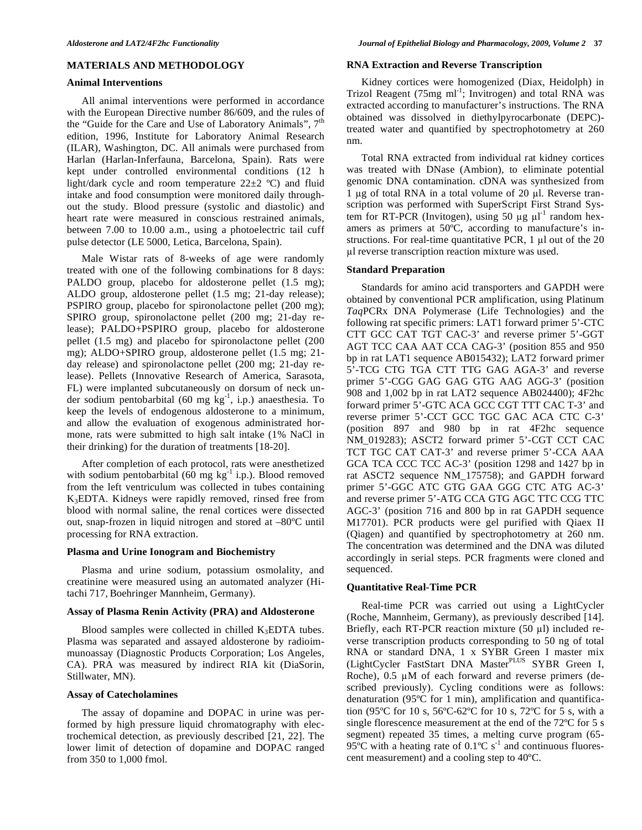# **MATERIALS AND METHODOLOGY**

### **Animal Interventions**

 All animal interventions were performed in accordance with the European Directive number 86/609, and the rules of the "Guide for the Care and Use of Laboratory Animals",  $7<sup>th</sup>$ edition, 1996, Institute for Laboratory Animal Research (ILAR), Washington, DC. All animals were purchased from Harlan (Harlan-Inferfauna, Barcelona, Spain). Rats were kept under controlled environmental conditions (12 h light/dark cycle and room temperature  $22\pm2$  °C) and fluid intake and food consumption were monitored daily throughout the study. Blood pressure (systolic and diastolic) and heart rate were measured in conscious restrained animals, between 7.00 to 10.00 a.m., using a photoelectric tail cuff pulse detector (LE 5000, Letica, Barcelona, Spain).

 Male Wistar rats of 8-weeks of age were randomly treated with one of the following combinations for 8 days: PALDO group, placebo for aldosterone pellet  $(1.5 \text{ mg})$ ; ALDO group, aldosterone pellet (1.5 mg; 21-day release); PSPIRO group, placebo for spironolactone pellet (200 mg); SPIRO group, spironolactone pellet (200 mg; 21-day release); PALDO+PSPIRO group, placebo for aldosterone pellet (1.5 mg) and placebo for spironolactone pellet (200 mg); ALDO+SPIRO group, aldosterone pellet (1.5 mg; 21 day release) and spironolactone pellet (200 mg; 21-day release). Pellets (Innovative Research of America, Sarasota, FL) were implanted subcutaneously on dorsum of neck under sodium pentobarbital (60 mg  $kg^{-1}$ , i.p.) anaesthesia. To keep the levels of endogenous aldosterone to a minimum, and allow the evaluation of exogenous administrated hormone, rats were submitted to high salt intake (1% NaCl in their drinking) for the duration of treatments [18-20].

 After completion of each protocol, rats were anesthetized with sodium pentobarbital (60 mg  $kg^{-1}$  i.p.). Blood removed from the left ventriculum was collected in tubes containing K3EDTA. Kidneys were rapidly removed, rinsed free from blood with normal saline, the renal cortices were dissected out, snap-frozen in liquid nitrogen and stored at –80ºC until processing for RNA extraction.

# **Plasma and Urine Ionogram and Biochemistry**

 Plasma and urine sodium, potassium osmolality, and creatinine were measured using an automated analyzer (Hitachi 717, Boehringer Mannheim, Germany).

# **Assay of Plasma Renin Activity (PRA) and Aldosterone**

Blood samples were collected in chilled  $K_3EDTA$  tubes. Plasma was separated and assayed aldosterone by radioimmunoassay (Diagnostic Products Corporation; Los Angeles, CA). PRA was measured by indirect RIA kit (DiaSorin, Stillwater, MN).

# **Assay of Catecholamines**

 The assay of dopamine and DOPAC in urine was performed by high pressure liquid chromatography with electrochemical detection, as previously described [21, 22]. The lower limit of detection of dopamine and DOPAC ranged from 350 to 1,000 fmol.

#### **RNA Extraction and Reverse Transcription**

 Kidney cortices were homogenized (Diax, Heidolph) in Trizol Reagent  $(75mg \text{ ml}^{-1})$ ; Invitrogen) and total RNA was extracted according to manufacturer's instructions. The RNA obtained was dissolved in diethylpyrocarbonate (DEPC) treated water and quantified by spectrophotometry at 260 nm.

 Total RNA extracted from individual rat kidney cortices was treated with DNase (Ambion), to eliminate potential genomic DNA contamination. cDNA was synthesized from 1  $\mu$ g of total RNA in a total volume of 20  $\mu$ l. Reverse transcription was performed with SuperScript First Strand System for RT-PCR (Invitogen), using 50  $\mu$ g  $\mu$ l<sup>-1</sup> random hexamers as primers at 50ºC, according to manufacture's instructions. For real-time quantitative PCR,  $1 \mu l$  out of the  $20$ l reverse transcription reaction mixture was used.

### **Standard Preparation**

 Standards for amino acid transporters and GAPDH were obtained by conventional PCR amplification, using Platinum *Taq*PCRx DNA Polymerase (Life Technologies) and the following rat specific primers: LAT1 forward primer 5'-CTC CTT GCC CAT TGT CAC-3' and reverse primer 5'-GGT AGT TCC CAA AAT CCA CAG-3' (position 855 and 950 bp in rat LAT1 sequence AB015432); LAT2 forward primer 5'-TCG CTG TGA CTT TTG GAG AGA-3' and reverse primer 5'-CGG GAG GAG GTG AAG AGG-3' (position 908 and 1,002 bp in rat LAT2 sequence AB024400); 4F2hc forward primer 5'-GTC ACA GCC CGT TTT CAC T-3' and reverse primer 5'-CCT GCC TGC GAC ACA CTC C-3' (position 897 and 980 bp in rat 4F2hc sequence NM\_019283); ASCT2 forward primer 5'-CGT CCT CAC TCT TGC CAT CAT-3' and reverse primer 5'-CCA AAA GCA TCA CCC TCC AC-3' (position 1298 and 1427 bp in rat ASCT2 sequence NM\_175758); and GAPDH forward primer 5'-GGC ATC GTG GAA GGG CTC ATG AC-3' and reverse primer 5'-ATG CCA GTG AGC TTC CCG TTC AGC-3' (position 716 and 800 bp in rat GAPDH sequence M17701). PCR products were gel purified with Qiaex II (Qiagen) and quantified by spectrophotometry at 260 nm. The concentration was determined and the DNA was diluted accordingly in serial steps. PCR fragments were cloned and sequenced.

# **Quantitative Real-Time PCR**

 Real-time PCR was carried out using a LightCycler (Roche, Mannheim, Germany), as previously described [14]. Briefly, each RT-PCR reaction mixture  $(50 \mu l)$  included reverse transcription products corresponding to 50 ng of total RNA or standard DNA, 1 x SYBR Green I master mix (LightCycler FastStart DNA Master<sup>PLUS</sup> SYBR Green I, Roche),  $0.5 \mu M$  of each forward and reverse primers (described previously). Cycling conditions were as follows: denaturation (95ºC for 1 min), amplification and quantification (95ºC for 10 s, 56ºC-62ºC for 10 s, 72ºC for 5 s, with a single florescence measurement at the end of the 72ºC for 5 s segment) repeated 35 times, a melting curve program (65- 95 $\rm ^{9}C$  with a heating rate of 0.1 $\rm ^{9}C$  s<sup>-1</sup> and continuous fluorescent measurement) and a cooling step to 40ºC.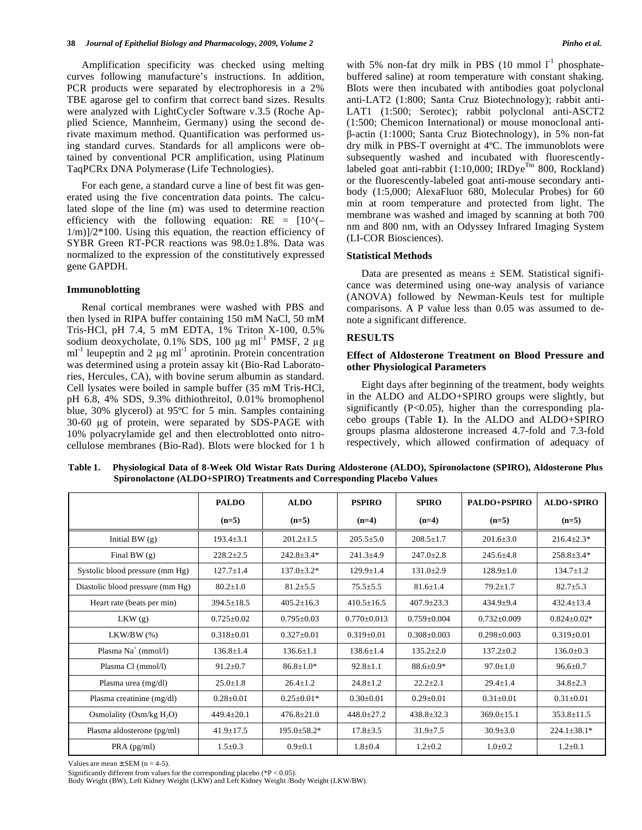Amplification specificity was checked using melting curves following manufacture's instructions. In addition, PCR products were separated by electrophoresis in a 2% TBE agarose gel to confirm that correct band sizes. Results were analyzed with LightCycler Software v.3.5 (Roche Applied Science, Mannheim, Germany) using the second derivate maximum method. Quantification was performed using standard curves. Standards for all amplicons were obtained by conventional PCR amplification, using Platinum TaqPCRx DNA Polymerase (Life Technologies).

 For each gene, a standard curve a line of best fit was generated using the five concentration data points. The calculated slope of the line (m) was used to determine reaction efficiency with the following equation:  $RE = [10^{\circ}(-)]$  $1/m$ ) $/2*100$ . Using this equation, the reaction efficiency of SYBR Green RT-PCR reactions was 98.0±1.8%. Data was normalized to the expression of the constitutively expressed gene GAPDH.

#### **Immunoblotting**

 Renal cortical membranes were washed with PBS and then lysed in RIPA buffer containing 150 mM NaCl, 50 mM Tris-HCl, pH 7.4, 5 mM EDTA, 1% Triton X-100, 0.5% sodium deoxycholate,  $0.1\%$  SDS,  $100 \mu g$  ml<sup>-1</sup> PMSF,  $2 \mu g$  $ml<sup>-1</sup>$  leupeptin and 2  $\mu$ g ml<sup>-1</sup> aprotinin. Protein concentration was determined using a protein assay kit (Bio-Rad Laboratories, Hercules, CA), with bovine serum albumin as standard. Cell lysates were boiled in sample buffer (35 mM Tris-HCl, pH 6.8, 4% SDS, 9.3% dithiothreitol, 0.01% bromophenol blue, 30% glycerol) at 95ºC for 5 min. Samples containing 30-60 µg of protein, were separated by SDS-PAGE with 10% polyacrylamide gel and then electroblotted onto nitrocellulose membranes (Bio-Rad). Blots were blocked for 1 h with 5% non-fat dry milk in PBS (10 mmol  $1<sup>-1</sup>$  phosphatebuffered saline) at room temperature with constant shaking. Blots were then incubated with antibodies goat polyclonal anti-LAT2 (1:800; Santa Cruz Biotechnology); rabbit anti-LAT1 (1:500; Serotec); rabbit polyclonal anti-ASCT2 (1:500; Chemicon International) or mouse monoclonal anti β-actin (1:1000; Santa Cruz Biotechnology), in 5% non-fat dry milk in PBS-T overnight at 4ºC. The immunoblots were subsequently washed and incubated with fluorescentlylabeled goat anti-rabbit (1:10,000; IRDye<sup>Tm</sup> 800, Rockland) or the fluorescently-labeled goat anti-mouse secondary antibody (1:5,000; AlexaFluor 680, Molecular Probes) for 60 min at room temperature and protected from light. The membrane was washed and imaged by scanning at both 700 nm and 800 nm, with an Odyssey Infrared Imaging System (LI-COR Biosciences).

#### **Statistical Methods**

Data are presented as means  $\pm$  SEM. Statistical significance was determined using one-way analysis of variance (ANOVA) followed by Newman-Keuls test for multiple comparisons. A P value less than 0.05 was assumed to denote a significant difference.

#### **RESULTS**

# **Effect of Aldosterone Treatment on Blood Pressure and other Physiological Parameters**

 Eight days after beginning of the treatment, body weights in the ALDO and ALDO+SPIRO groups were slightly, but significantly (P<0.05), higher than the corresponding placebo groups (Table **1**). In the ALDO and ALDO+SPIRO groups plasma aldosterone increased 4.7-fold and 7.3-fold respectively, which allowed confirmation of adequacy of

|                                  | <b>PALDO</b>     | <b>ALDO</b>       | <b>PSPIRO</b>     | <b>SPIRO</b>      | <b>PALDO+PSPIRO</b> | ALDO+SPIRO        |
|----------------------------------|------------------|-------------------|-------------------|-------------------|---------------------|-------------------|
|                                  | $(n=5)$          | $(n=5)$           | $(n=4)$           | $(n=4)$           | $(n=5)$             | $(n=5)$           |
| Initial BW $(g)$                 | $193.4 + 3.1$    | $201.2 \pm 1.5$   | $205.5 \pm 5.0$   | $208.5 \pm 1.7$   | $201.6 \pm 3.0$     | $216.4 \pm 2.3*$  |
| Final BW $(g)$                   | $228.2 \pm 2.5$  | $242.8 \pm 3.4*$  | $241.3 \pm 4.9$   | $247.0 \pm 2.8$   | $245.6 \pm 4.8$     | $258.8 \pm 3.4*$  |
| Systolic blood pressure (mm Hg)  | $127.7 \pm 1.4$  | $137.0 \pm 3.2*$  | $129.9 \pm 1.4$   | $131.0 \pm 2.9$   | $128.9 \pm 1.0$     | $134.7 \pm 1.2$   |
| Diastolic blood pressure (mm Hg) | $80.2 \pm 1.0$   | $81.2 \pm 5.5$    | $75.5 \pm 5.5$    | $81.6 \pm 1.4$    | $79.2 \pm 1.7$      | $82.7 \pm 5.3$    |
| Heart rate (beats per min)       | $394.5 \pm 18.5$ | $405.2 \pm 16.3$  | $410.5 \pm 16.5$  | $407.9 \pm 23.3$  | $434.9 + 9.4$       | $432.4 \pm 13.4$  |
| LKW(g)                           | $0.725 \pm 0.02$ | $0.795 \pm 0.03$  | $0.770 \pm 0.013$ | $0.759 \pm 0.004$ | $0.732 \pm 0.009$   | $0.824 \pm 0.02*$ |
| $LKW/BW$ $(\%)$                  | $0.318 \pm 0.01$ | $0.327 \pm 0.01$  | $0.319 \pm 0.01$  | $0.308 \pm 0.003$ | $0.298 \pm 0.003$   | $0.319 \pm 0.01$  |
| Plasma $Na^+$ (mmol/l)           | $136.8 \pm 1.4$  | $136.6 \pm 1.1$   | $138.6 \pm 1.4$   | $135.2 \pm 2.0$   | $137.2 \pm 0.2$     | $136.0 \pm 0.3$   |
| Plasma Cl (mmol/l)               | $91.2 \pm 0.7$   | $86.8 \pm 1.0*$   | $92.8 \pm 1.1$    | 88.6±0.9*         | $97.0 \pm 1.0$      | $96.6 \pm 0.7$    |
| Plasma urea (mg/dl)              | $25.0 \pm 1.8$   | $26.4 \pm 1.2$    | $24.8 \pm 1.2$    | $22.2 \pm 2.1$    | $29.4 \pm 1.4$      | $34.8 \pm 2.3$    |
| Plasma creatinine (mg/dl)        | $0.28 \pm 0.01$  | $0.25 \pm 0.01*$  | $0.30 \pm 0.01$   | $0.29 \pm 0.01$   | $0.31 \pm 0.01$     | $0.31 \pm 0.01$   |
| Osmolality (Osm/kg $H_2O$ )      | $449.4 \pm 20.1$ | $476.8 \pm 21.0$  | $448.0 \pm 27.2$  | $438.8 \pm 32.3$  | $369.0 \pm 15.1$    | $353.8 \pm 11.5$  |
| Plasma aldosterone (pg/ml)       | $41.9 \pm 17.5$  | $195.0 \pm 58.2*$ | $17.8 \pm 3.5$    | $31.9 \pm 7.5$    | $30.9 \pm 3.0$      | $224.1 \pm 38.1*$ |
| $PRA$ (pg/ml)                    | $1.5 \pm 0.3$    | $0.9 + 0.1$       | $1.8 + 0.4$       | $1.2 \pm 0.2$     | $1.0 + 0.2$         | $1.2 \pm 0.1$     |

**Table 1. Physiological Data of 8-Week Old Wistar Rats During Aldosterone (ALDO), Spironolactone (SPIRO), Aldosterone Plus Spironolactone (ALDO+SPIRO) Treatments and Corresponding Placebo Values** 

Values are mean  $\pm$  SEM (n = 4-5).

Significantly different from values for the corresponding placebo (\*P < 0.05).

Body Weight (BW), Left Kidney Weight (LKW) and Left Kidney Weight /Body Weight (LKW/BW).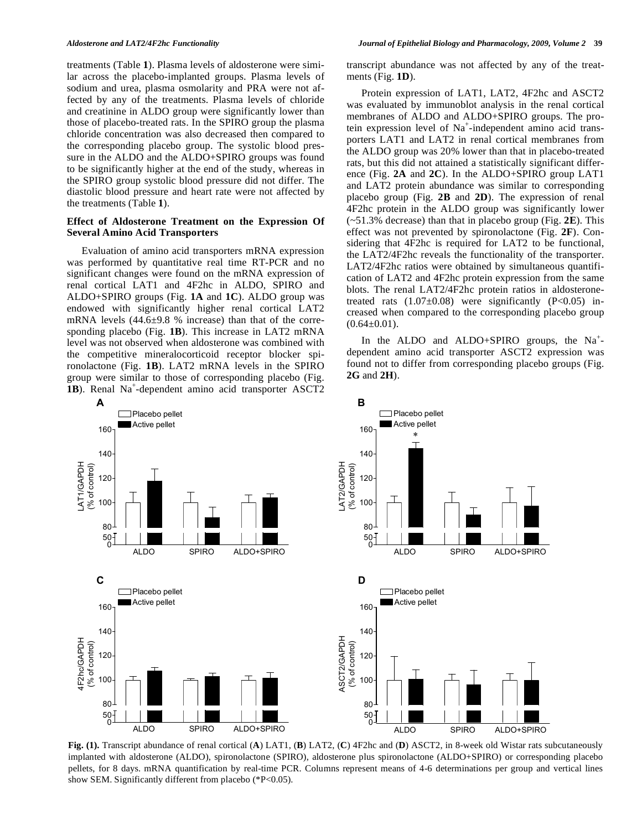treatments (Table **1**). Plasma levels of aldosterone were similar across the placebo-implanted groups. Plasma levels of sodium and urea, plasma osmolarity and PRA were not affected by any of the treatments. Plasma levels of chloride and creatinine in ALDO group were significantly lower than those of placebo-treated rats. In the SPIRO group the plasma chloride concentration was also decreased then compared to the corresponding placebo group. The systolic blood pressure in the ALDO and the ALDO+SPIRO groups was found to be significantly higher at the end of the study, whereas in the SPIRO group systolic blood pressure did not differ. The diastolic blood pressure and heart rate were not affected by the treatments (Table **1**).

# **Effect of Aldosterone Treatment on the Expression Of Several Amino Acid Transporters**

 Evaluation of amino acid transporters mRNA expression was performed by quantitative real time RT-PCR and no significant changes were found on the mRNA expression of renal cortical LAT1 and 4F2hc in ALDO, SPIRO and ALDO+SPIRO groups (Fig. **1A** and **1C**). ALDO group was endowed with significantly higher renal cortical LAT2 mRNA levels (44.6±9.8 % increase) than that of the corresponding placebo (Fig. **1B**). This increase in LAT2 mRNA level was not observed when aldosterone was combined with the competitive mineralocorticoid receptor blocker spironolactone (Fig. **1B**). LAT2 mRNA levels in the SPIRO group were similar to those of corresponding placebo (Fig. 1B). Renal Na<sup>+</sup>-dependent amino acid transporter ASCT2 transcript abundance was not affected by any of the treatments (Fig. **1D**).

 Protein expression of LAT1, LAT2, 4F2hc and ASCT2 was evaluated by immunoblot analysis in the renal cortical membranes of ALDO and ALDO+SPIRO groups. The protein expression level of Na<sup>+</sup>-independent amino acid transporters LAT1 and LAT2 in renal cortical membranes from the ALDO group was 20% lower than that in placebo-treated rats, but this did not attained a statistically significant difference (Fig. **2A** and **2C**). In the ALDO+SPIRO group LAT1 and LAT2 protein abundance was similar to corresponding placebo group (Fig. **2B** and **2D**). The expression of renal 4F2hc protein in the ALDO group was significantly lower (~51.3% decrease) than that in placebo group (Fig. **2E**). This effect was not prevented by spironolactone (Fig. **2F**). Considering that 4F2hc is required for LAT2 to be functional, the LAT2/4F2hc reveals the functionality of the transporter. LAT2/4F2hc ratios were obtained by simultaneous quantification of LAT2 and 4F2hc protein expression from the same blots. The renal LAT2/4F2hc protein ratios in aldosteronetreated rats  $(1.07\pm0.08)$  were significantly  $(P<0.05)$  increased when compared to the corresponding placebo group  $(0.64\pm0.01)$ .

In the ALDO and ALDO+SPIRO groups, the  $Na<sup>+</sup>$ dependent amino acid transporter ASCT2 expression was found not to differ from corresponding placebo groups (Fig. **2G** and **2H**).



**Fig. (1).** Transcript abundance of renal cortical (**A**) LAT1, (**B**) LAT2, (**C**) 4F2hc and (**D**) ASCT2, in 8-week old Wistar rats subcutaneously implanted with aldosterone (ALDO), spironolactone (SPIRO), aldosterone plus spironolactone (ALDO+SPIRO) or corresponding placebo pellets, for 8 days. mRNA quantification by real-time PCR. Columns represent means of 4-6 determinations per group and vertical lines show SEM. Significantly different from placebo (\*P<0.05).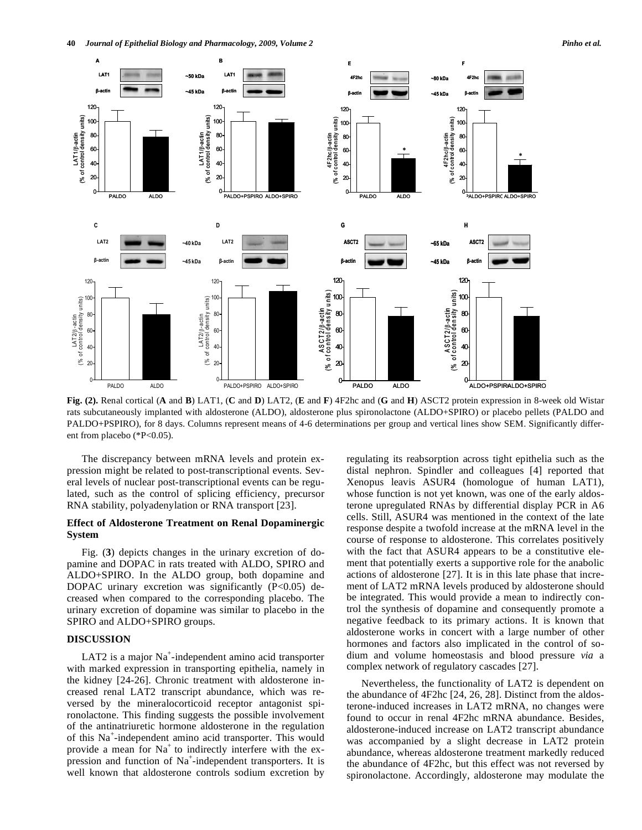

**Fig. (2).** Renal cortical (**A** and **B**) LAT1, (**C** and **D**) LAT2, (**E** and **F**) 4F2hc and (**G** and **H**) ASCT2 protein expression in 8-week old Wistar rats subcutaneously implanted with aldosterone (ALDO), aldosterone plus spironolactone (ALDO+SPIRO) or placebo pellets (PALDO and PALDO+PSPIRO), for 8 days. Columns represent means of 4-6 determinations per group and vertical lines show SEM. Significantly different from placebo (\*P<0.05).

 The discrepancy between mRNA levels and protein expression might be related to post-transcriptional events. Several levels of nuclear post-transcriptional events can be regulated, such as the control of splicing efficiency, precursor RNA stability, polyadenylation or RNA transport [23].

# **Effect of Aldosterone Treatment on Renal Dopaminergic System**

 Fig. (**3**) depicts changes in the urinary excretion of dopamine and DOPAC in rats treated with ALDO, SPIRO and ALDO+SPIRO. In the ALDO group, both dopamine and DOPAC urinary excretion was significantly  $(P<0.05)$  decreased when compared to the corresponding placebo. The urinary excretion of dopamine was similar to placebo in the SPIRO and ALDO+SPIRO groups.

# **DISCUSSION**

LAT2 is a major  $Na^+$ -independent amino acid transporter with marked expression in transporting epithelia, namely in the kidney [24-26]. Chronic treatment with aldosterone increased renal LAT2 transcript abundance, which was reversed by the mineralocorticoid receptor antagonist spironolactone. This finding suggests the possible involvement of the antinatriuretic hormone aldosterone in the regulation of this Na<sup>+</sup>-independent amino acid transporter. This would provide a mean for  $Na<sup>+</sup>$  to indirectly interfere with the expression and function of Na<sup>+</sup>-independent transporters. It is well known that aldosterone controls sodium excretion by

regulating its reabsorption across tight epithelia such as the distal nephron. Spindler and colleagues [4] reported that Xenopus leavis ASUR4 (homologue of human LAT1), whose function is not yet known, was one of the early aldosterone upregulated RNAs by differential display PCR in A6 cells. Still, ASUR4 was mentioned in the context of the late response despite a twofold increase at the mRNA level in the course of response to aldosterone. This correlates positively with the fact that ASUR4 appears to be a constitutive element that potentially exerts a supportive role for the anabolic actions of aldosterone [27]. It is in this late phase that increment of LAT2 mRNA levels produced by aldosterone should be integrated. This would provide a mean to indirectly control the synthesis of dopamine and consequently promote a negative feedback to its primary actions. It is known that aldosterone works in concert with a large number of other hormones and factors also implicated in the control of sodium and volume homeostasis and blood pressure *via* a complex network of regulatory cascades [27].

 Nevertheless, the functionality of LAT2 is dependent on the abundance of 4F2hc [24, 26, 28]. Distinct from the aldosterone-induced increases in LAT2 mRNA, no changes were found to occur in renal 4F2hc mRNA abundance. Besides, aldosterone-induced increase on LAT2 transcript abundance was accompanied by a slight decrease in LAT2 protein abundance, whereas aldosterone treatment markedly reduced the abundance of 4F2hc, but this effect was not reversed by spironolactone. Accordingly, aldosterone may modulate the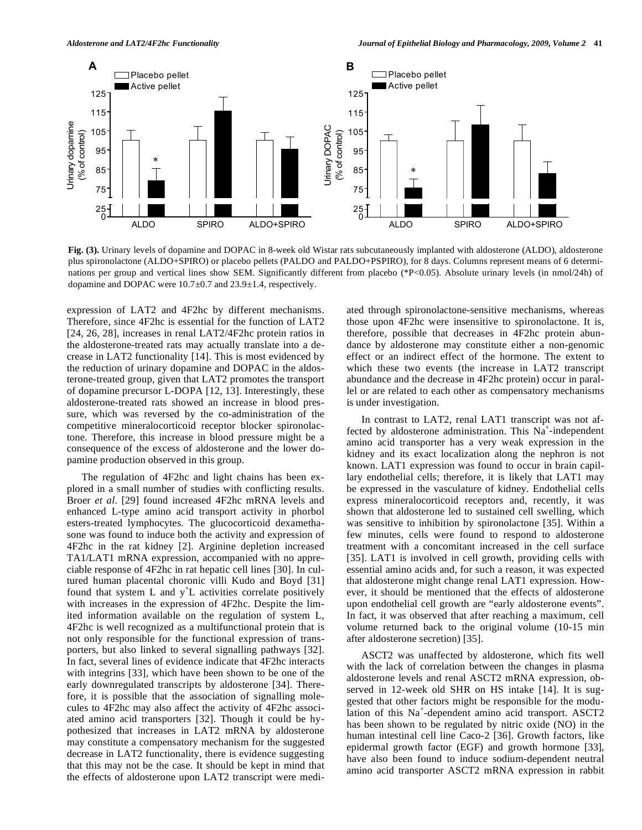

**Fig. (3).** Urinary levels of dopamine and DOPAC in 8-week old Wistar rats subcutaneously implanted with aldosterone (ALDO), aldosterone plus spironolactone (ALDO+SPIRO) or placebo pellets (PALDO and PALDO+PSPIRO), for 8 days. Columns represent means of 6 determinations per group and vertical lines show SEM. Significantly different from placebo (\*P<0.05). Absolute urinary levels (in nmol/24h) of dopamine and DOPAC were 10.7±0.7 and 23.9±1.4, respectively.

expression of LAT2 and 4F2hc by different mechanisms. Therefore, since 4F2hc is essential for the function of LAT2 [24, 26, 28], increases in renal LAT2/4F2hc protein ratios in the aldosterone-treated rats may actually translate into a decrease in LAT2 functionality [14]. This is most evidenced by the reduction of urinary dopamine and DOPAC in the aldosterone-treated group, given that LAT2 promotes the transport of dopamine precursor L-DOPA [12, 13]. Interestingly, these aldosterone-treated rats showed an increase in blood pressure, which was reversed by the co-administration of the competitive mineralocorticoid receptor blocker spironolactone. Therefore, this increase in blood pressure might be a consequence of the excess of aldosterone and the lower dopamine production observed in this group.

 The regulation of 4F2hc and light chains has been explored in a small number of studies with conflicting results. Broer *et al*. [29] found increased 4F2hc mRNA levels and enhanced L-type amino acid transport activity in phorbol esters-treated lymphocytes. The glucocorticoid dexamethasone was found to induce both the activity and expression of 4F2hc in the rat kidney [2]. Arginine depletion increased TA1/LAT1 mRNA expression, accompanied with no appreciable response of 4F2hc in rat hepatic cell lines [30]. In cultured human placental choronic villi Kudo and Boyd [31] found that system L and  $y^{\dagger}L$  activities correlate positively with increases in the expression of 4F2hc. Despite the limited information available on the regulation of system L, 4F2hc is well recognized as a multifunctional protein that is not only responsible for the functional expression of transporters, but also linked to several signalling pathways [32]. In fact, several lines of evidence indicate that 4F2hc interacts with integrins [33], which have been shown to be one of the early downregulated transcripts by aldosterone [34]. Therefore, it is possible that the association of signalling molecules to 4F2hc may also affect the activity of 4F2hc associated amino acid transporters [32]. Though it could be hypothesized that increases in LAT2 mRNA by aldosterone may constitute a compensatory mechanism for the suggested decrease in LAT2 functionality, there is evidence suggesting that this may not be the case. It should be kept in mind that the effects of aldosterone upon LAT2 transcript were mediated through spironolactone-sensitive mechanisms, whereas those upon 4F2hc were insensitive to spironolactone. It is, therefore, possible that decreases in 4F2hc protein abundance by aldosterone may constitute either a non-genomic effect or an indirect effect of the hormone. The extent to which these two events (the increase in LAT2 transcript abundance and the decrease in 4F2hc protein) occur in parallel or are related to each other as compensatory mechanisms is under investigation.

 In contrast to LAT2, renal LAT1 transcript was not affected by aldosterone administration. This  $N_a^+$ -independent amino acid transporter has a very weak expression in the kidney and its exact localization along the nephron is not known. LAT1 expression was found to occur in brain capillary endothelial cells; therefore, it is likely that LAT1 may be expressed in the vasculature of kidney. Endothelial cells express mineralocorticoid receptors and, recently, it was shown that aldosterone led to sustained cell swelling, which was sensitive to inhibition by spironolactone [35]. Within a few minutes, cells were found to respond to aldosterone treatment with a concomitant increased in the cell surface [35]. LAT1 is involved in cell growth, providing cells with essential amino acids and, for such a reason, it was expected that aldosterone might change renal LAT1 expression. However, it should be mentioned that the effects of aldosterone upon endothelial cell growth are "early aldosterone events". In fact, it was observed that after reaching a maximum, cell volume returned back to the original volume (10-15 min after aldosterone secretion) [35].

 ASCT2 was unaffected by aldosterone, which fits well with the lack of correlation between the changes in plasma aldosterone levels and renal ASCT2 mRNA expression, observed in 12-week old SHR on HS intake [14]. It is suggested that other factors might be responsible for the modulation of this Na<sup>+</sup>-dependent amino acid transport. ASCT2 has been shown to be regulated by nitric oxide (NO) in the human intestinal cell line Caco-2 [36]. Growth factors, like epidermal growth factor (EGF) and growth hormone [33], have also been found to induce sodium-dependent neutral amino acid transporter ASCT2 mRNA expression in rabbit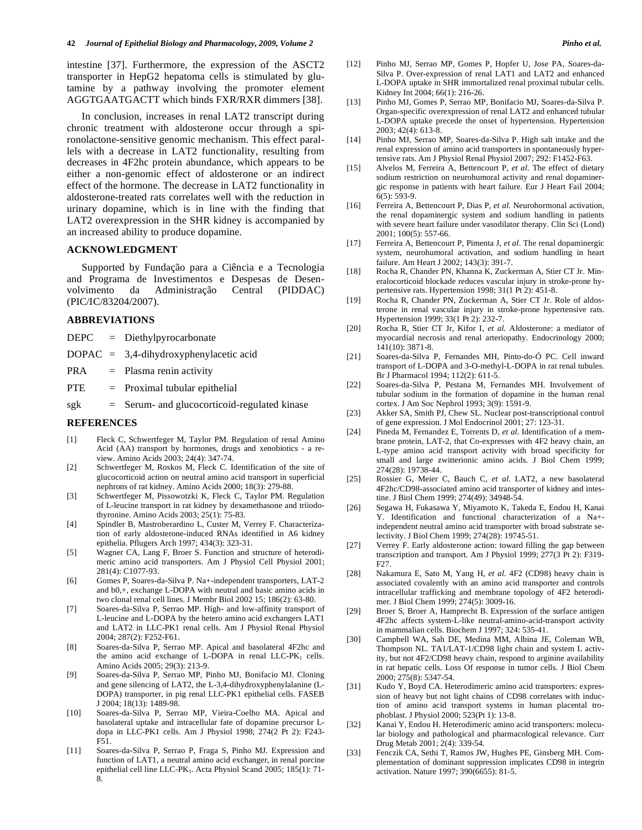intestine [37]. Furthermore, the expression of the ASCT2 transporter in HepG2 hepatoma cells is stimulated by glutamine by a pathway involving the promoter element AGGTGAATGACTT which binds FXR/RXR dimmers [38].

 In conclusion, increases in renal LAT2 transcript during chronic treatment with aldosterone occur through a spironolactone-sensitive genomic mechanism. This effect parallels with a decrease in LAT2 functionality, resulting from decreases in 4F2hc protein abundance, which appears to be either a non-genomic effect of aldosterone or an indirect effect of the hormone. The decrease in LAT2 functionality in aldosterone-treated rats correlates well with the reduction in urinary dopamine, which is in line with the finding that LAT2 overexpression in the SHR kidney is accompanied by an increased ability to produce dopamine.

# **ACKNOWLEDGMENT**

 Supported by Fundação para a Ciência e a Tecnologia and Programa de Investimentos e Despesas de Desenvolvimento da Administração Central (PIDDAC) (PIC/IC/83204/2007).

#### **ABBREVIATIONS**

DEPC = Diethylpyrocarbonate

DOPAC = 3,4-dihydroxyphenylacetic acid

PRA = Plasma renin activity

- PTE = Proximal tubular epithelial
- $sgk =$  Serum- and glucocorticoid-regulated kinase

#### **REFERENCES**

- [1] Fleck C, Schwertfeger M, Taylor PM. Regulation of renal Amino Acid (AA) transport by hormones, drugs and xenobiotics - a review. Amino Acids 2003; 24(4): 347-74.
- [2] Schwertfeger M, Roskos M, Fleck C. Identification of the site of glucocorticoid action on neutral amino acid transport in superficial nephrons of rat kidney. Amino Acids 2000; 18(3): 279-88.
- [3] Schwertfeger M, Pissowotzki K, Fleck C, Taylor PM. Regulation of L-leucine transport in rat kidney by dexamethasone and triiodothyronine. Amino Acids 2003; 25(1): 75-83.
- [4] Spindler B, Mastroberardino L, Custer M, Verrey F. Characterization of early aldosterone-induced RNAs identified in A6 kidney epithelia. Pflugers Arch 1997; 434(3): 323-31.
- [5] Wagner CA, Lang F, Broer S. Function and structure of heterodimeric amino acid transporters. Am J Physiol Cell Physiol 2001; 281(4): C1077-93.
- [6] Gomes P, Soares-da-Silva P. Na+-independent transporters, LAT-2 and b0,+, exchange L-DOPA with neutral and basic amino acids in two clonal renal cell lines. J Membr Biol 2002 15; 186(2): 63-80.
- [7] Soares-da-Silva P, Serrao MP. High- and low-affinity transport of L-leucine and L-DOPA by the hetero amino acid exchangers LAT1 and LAT2 in LLC-PK1 renal cells. Am J Physiol Renal Physiol 2004; 287(2): F252-F61.
- [8] Soares-da-Silva P, Serrao MP. Apical and basolateral 4F2hc and the amino acid exchange of L-DOPA in renal LLC-PK<sub>1</sub> cells. Amino Acids 2005; 29(3): 213-9.
- [9] Soares-da-Silva P, Serrao MP, Pinho MJ, Bonifacio MJ. Cloning and gene silencing of LAT2, the L-3,4-dihydroxyphenylalanine (L-DOPA) transporter, in pig renal LLC-PK1 epithelial cells. FASEB J 2004; 18(13): 1489-98.
- [10] Soares-da-Silva P, Serrao MP, Vieira-Coelho MA. Apical and basolateral uptake and intracellular fate of dopamine precursor Ldopa in LLC-PK1 cells. Am J Physiol 1998; 274(2 Pt 2): F243- F51.
- [11] Soares-da-Silva P, Serrao P, Fraga S, Pinho MJ. Expression and function of LAT1, a neutral amino acid exchanger, in renal porcine epithelial cell line LLC-PK1. Acta Physiol Scand 2005; 185(1): 71- 8.
- [12] Pinho MJ, Serrao MP, Gomes P, Hopfer U, Jose PA, Soares-da-Silva P. Over-expression of renal LAT1 and LAT2 and enhanced L-DOPA uptake in SHR immortalized renal proximal tubular cells. Kidney Int 2004; 66(1): 216-26.
- [13] Pinho MJ, Gomes P, Serrao MP, Bonifacio MJ, Soares-da-Silva P. Organ-specific overexpression of renal LAT2 and enhanced tubular L-DOPA uptake precede the onset of hypertension. Hypertension 2003; 42(4): 613-8.
- [14] Pinho MJ, Serrao MP, Soares-da-Silva P. High salt intake and the renal expression of amino acid transporters in spontaneously hypertensive rats. Am J Physiol Renal Physiol 2007; 292: F1452-F63.
- [15] Alvelos M, Ferreira A, Bettencourt P, *et al*. The effect of dietary sodium restriction on neurohumoral activity and renal dopaminergic response in patients with heart failure. Eur J Heart Fail 2004; 6(5): 593-9.
- [16] Ferreira A, Bettencourt P, Dias P, *et al*. Neurohormonal activation, the renal dopaminergic system and sodium handling in patients with severe heart failure under vasodilator therapy. Clin Sci (Lond) 2001; 100(5): 557-66.
- [17] Ferreira A, Bettencourt P, Pimenta J, *et al*. The renal dopaminergic system, neurohumoral activation, and sodium handling in heart failure. Am Heart J 2002; 143(3): 391-7.
- [18] Rocha R, Chander PN, Khanna K, Zuckerman A, Stier CT Jr. Mineralocorticoid blockade reduces vascular injury in stroke-prone hypertensive rats. Hypertension 1998; 31(1 Pt 2): 451-8.
- [19] Rocha R, Chander PN, Zuckerman A, Stier CT Jr. Role of aldosterone in renal vascular injury in stroke-prone hypertensive rats. Hypertension 1999; 33(1 Pt 2): 232-7.
- [20] Rocha R, Stier CT Jr, Kifor I, *et al*. Aldosterone: a mediator of myocardial necrosis and renal arteriopathy. Endocrinology 2000; 141(10): 3871-8.
- [21] Soares-da-Silva P, Fernandes MH, Pinto-do-Ó PC. Cell inward transport of L-DOPA and 3-O-methyl-L-DOPA in rat renal tubules. Br J Pharmacol 1994; 112(2): 611-5.
- [22] Soares-da-Silva P, Pestana M, Fernandes MH. Involvement of tubular sodium in the formation of dopamine in the human renal cortex. J Am Soc Nephrol 1993; 3(9): 1591-9.
- [23] Akker SA, Smith PJ, Chew SL. Nuclear post-transcriptional control of gene expression. J Mol Endocrinol 2001; 27: 123-31.
- [24] Pineda M, Fernandez E, Torrents D, *et al*. Identification of a membrane protein, LAT-2, that Co-expresses with 4F2 heavy chain, an L-type amino acid transport activity with broad specificity for small and large zwitterionic amino acids. J Biol Chem 1999; 274(28): 19738-44.
- [25] Rossier G, Meier C, Bauch C, *et al*. LAT2, a new basolateral 4F2hc/CD98-associated amino acid transporter of kidney and intestine. J Biol Chem 1999; 274(49): 34948-54.
- [26] Segawa H, Fukasawa Y, Miyamoto K, Takeda E, Endou H, Kanai Y. Identification and functional characterization of a Na+ independent neutral amino acid transporter with broad substrate selectivity. J Biol Chem 1999; 274(28): 19745-51.
- [27] Verrey F. Early aldosterone action: toward filling the gap between transcription and transport. Am J Physiol 1999; 277(3 Pt 2): F319- F27.
- [28] Nakamura E, Sato M, Yang H, *et al*. 4F2 (CD98) heavy chain is associated covalently with an amino acid transporter and controls intracellular trafficking and membrane topology of 4F2 heterodimer. J Biol Chem 1999; 274(5): 3009-16.
- [29] Broer S, Broer A, Hamprecht B. Expression of the surface antigen 4F2hc affects system-L-like neutral-amino-acid-transport activity in mammalian cells. Biochem J 1997; 324: 535-41.
- [30] Campbell WA, Sah DE, Medina MM, Albina JE, Coleman WB, Thompson NL. TA1/LAT-1/CD98 light chain and system L activity, but not 4F2/CD98 heavy chain, respond to arginine availability in rat hepatic cells. Loss Of response in tumor cells. J Biol Chem 2000; 275(8): 5347-54.
- [31] Kudo Y, Boyd CA. Heterodimeric amino acid transporters: expression of heavy but not light chains of CD98 correlates with induction of amino acid transport systems in human placental trophoblast. J Physiol 2000; 523(Pt 1): 13-8.
- [32] Kanai Y, Endou H. Heterodimeric amino acid transporters: molecular biology and pathological and pharmacological relevance. Curr Drug Metab 2001; 2(4): 339-54.
- [33] Fenczik CA, Sethi T, Ramos JW, Hughes PE, Ginsberg MH. Complementation of dominant suppression implicates CD98 in integrin activation. Nature 1997; 390(6655): 81-5.